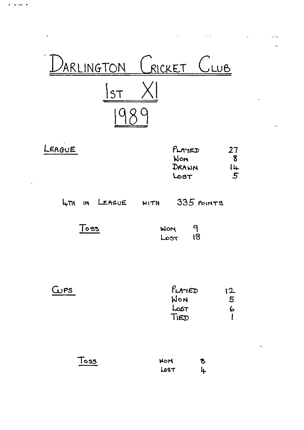

| LEAGUE | $P_{LAYED}$ | 27           |
|--------|-------------|--------------|
|        | Won         |              |
|        | DRAWN       | l 4          |
|        | Lost        | $\mathbf{5}$ |

LITH IN LEAGUE WITH 335 POINTS

 $Toes$ 

 $\frac{1}{2}$  and  $\frac{1}{2}$ 

| <b>WON</b> | 9  |
|------------|----|
| LOST       | ៜ៲ |

| GIPS | PLAYED | 12 |
|------|--------|----|
|      | WON    | 5  |
|      | LOST   | Þ  |
|      | TIED   |    |
|      |        |    |

Toss  $\boldsymbol{\delta}$ **HON** 4 LOST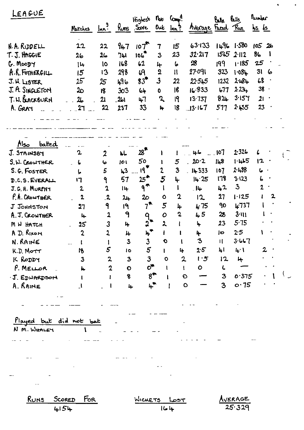| LEAGUE                          | Marches              |                         | $\ln n$ <sup>9</sup> Runs Score | Highest                | $n_{\text{ob}}$ $\text{C}_{\text{cusp}}^{\text{d}}$ .<br>Out | ln 3                                       | Avenue Frad                | Balle Balls     | <u>Run</u>     | Tunber<br><u>is is</u> |  |
|---------------------------------|----------------------|-------------------------|---------------------------------|------------------------|--------------------------------------------------------------|--------------------------------------------|----------------------------|-----------------|----------------|------------------------|--|
| N.A. RIDDELL                    | 22                   | 22                      | 947                             | 10T                    | 7                                                            | 15                                         | 63.133                     |                 | $1496$ $1.580$ | 10526                  |  |
| T. J. HAGGIE                    | 26                   | 26                      | 741                             | 106 <sup>T</sup>       | 3                                                            | 23                                         | 32.217                     | 1565            | $2 - 112$      | 86                     |  |
| $G.$ Moop $\gamma$              | $ +$                 | 10                      | 168                             | 62                     | 4                                                            | 6                                          | $\boldsymbol{\mathcal{B}}$ | 199             | 1.185          | 25                     |  |
| $A.R.$ FOTH ERGILL              | 15                   | 13                      | 298                             | 69                     | $\overline{2}$                                               | $\mathbf{u}$                               | 27.091                     | 323             | 1.08L          | 31<br>6                |  |
| J. H. LISTER                    | 25                   | 25                      | 496                             | $83^{\rm m}$           | $\overline{3}$                                               | 22                                         | 22.545                     | 1232            | 2.184          | 68                     |  |
| J. A. SINGLETON                 | ᠽ                    | 18                      | 303                             | $6 +$                  | $\bullet$                                                    | 16                                         | 16.833                     | b77             | $2.23 +$       | $38 -$                 |  |
| T. H. BLACKBURN                 | 26                   | 21                      | $-261$                          | 47                     | $\mathbf{z}$                                                 | I9                                         | 13.737                     | $82 +$          | 3.157          | 21                     |  |
| A. GRAY                         | 27                   | 22                      | 237                             | 33                     | 4                                                            | 18                                         | 13.167                     | 517             | 2455           | 23<br>$\bullet$        |  |
|                                 |                      |                         |                                 |                        |                                                              |                                            |                            |                 |                |                        |  |
|                                 |                      |                         |                                 |                        |                                                              |                                            |                            |                 |                |                        |  |
| balted<br>Also                  | 2                    |                         |                                 | $28^{\tiny\textbf{F}}$ |                                                              |                                            | 46                         | 10 <sub>1</sub> | 2.326          | ι                      |  |
| J. STAINSBY                     |                      | $\overline{2}$          | 乢                               | 50                     |                                                              |                                            | 20.2                       | 148             | 1.45           | 12                     |  |
| S.W. CROWTHER                   | 6                    | 6                       | 101                             | $19^{\degree}$         | 2                                                            | $5\overline{)}$<br>$\overline{\mathbf{3}}$ | 14333                      | 107             | 2488           | ما                     |  |
| S.G. FOSTER                     | し                    | 5                       | 43<br>57                        | 25*                    | 5                                                            | 4                                          | 14.25                      | 178             | 3.123          | 6                      |  |
| D.C.S. EVERALL<br>J.G.H. MURPHY | 17<br>$\mathbf{2}$   | ٩<br>$\mathbf 2$        |                                 | $\mathbf{P}$           |                                                              | $\mathbf{I}$                               | $\overline{\phantom{a}}$   | 42              | 3              | $\mathbf{2}$           |  |
| P.A. CROWTHER                   | 2                    | $\overline{\mathbf{2}}$ | 14                              | $2\circ$               | $\bullet$                                                    | $\mathbf{c}$                               | 12                         | 27              | 1.125          | 2                      |  |
|                                 |                      | 9                       | 24                              | $7^*$                  | 5                                                            |                                            | 4.75                       | 90              | 4.737          |                        |  |
| J JOHNSTON<br>A. J. CRONTHER    | 27                   | $\overline{\mathbf{1}}$ | 19<br>9                         |                        | $\mathbf O$                                                  | 4<br>$\mathbf 2$                           | 45                         | 28              | $3 - 111$      |                        |  |
|                                 | 4                    | 3                       |                                 | $9_{\bullet}$<br>วั    | $\overline{\mathbf{r}}$                                      | ł                                          | 4                          | 23              | 5.75           |                        |  |
| M W HATCH<br>A D. RIXON         | 25<br>$\overline{2}$ | $\overline{2}$          | 4                               | $\mu^{\bullet}$        |                                                              | l                                          |                            | Jо              | 2.5            |                        |  |
| N. RAINE                        |                      |                         | 4<br>$\overline{\mathbf{3}}$    | $\mathbf{3}$           | $\bullet$                                                    |                                            | 4<br>3                     | П               | 3.667          |                        |  |
| K.D. MOTT                       | 18                   | $5^{\circ}$             | 10                              | $5\phantom{.0}$        | $\mathbf{I}$                                                 | 4                                          | 2.5                        | 41              | 4.1            | $\mathbf{2}$           |  |
| K RODDY                         | 3                    | $\overline{\mathbf{2}}$ | $\mathbf{3}$                    | 3 <sup>1</sup>         | $\mathbf{o}$                                                 | $\mathbf{2}$                               | 1:5                        | 12              | H              |                        |  |
| $P.$ MELLOR                     | h.                   | 2                       | $\bullet$                       | $o^*$                  | 1                                                            | $\mathbf{1}$                               | $\bullet$                  | L               |                |                        |  |
| J. EDWARDSON                    |                      |                         | $\bf 8$                         | $8^{\ast}$             |                                                              |                                            | $\mathbf C$                | 3               | 0.375          |                        |  |
| A. RAINE                        | $\mathbf{l}$         |                         | 4                               | 4*                     |                                                              |                                            | $\bullet$                  | 3               | o.75           |                        |  |
|                                 |                      |                         |                                 |                        |                                                              |                                            |                            |                 |                |                        |  |
|                                 |                      |                         |                                 |                        |                                                              |                                            |                            |                 |                |                        |  |
|                                 |                      |                         |                                 |                        |                                                              |                                            |                            |                 |                |                        |  |
| Played but did not bat          |                      |                         |                                 |                        |                                                              |                                            |                            |                 |                |                        |  |
| N M. WHALEY                     |                      |                         |                                 |                        |                                                              |                                            |                            |                 |                |                        |  |
|                                 |                      |                         |                                 |                        |                                                              |                                            |                            |                 |                |                        |  |
|                                 |                      |                         |                                 |                        |                                                              |                                            |                            |                 |                |                        |  |
|                                 |                      |                         |                                 |                        |                                                              |                                            |                            |                 |                |                        |  |
|                                 |                      |                         |                                 |                        |                                                              |                                            |                            |                 |                |                        |  |
|                                 |                      |                         |                                 |                        |                                                              |                                            |                            |                 |                |                        |  |
|                                 |                      |                         |                                 |                        |                                                              |                                            |                            |                 |                |                        |  |
|                                 |                      |                         |                                 |                        |                                                              |                                            |                            |                 |                |                        |  |
| <u>Runs</u><br>SCORED           | FOR                  |                         |                                 | WICKETS LOST           |                                                              |                                            |                            |                 | <b>AVERAGE</b> |                        |  |
| 4154                            |                      |                         |                                 |                        | 164                                                          |                                            |                            |                 | 25.329         |                        |  |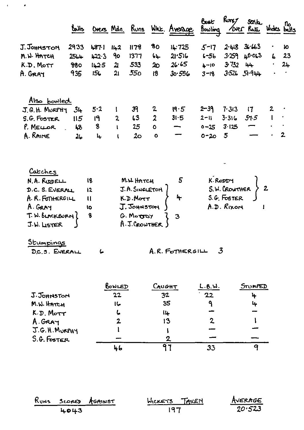| J. Johnston<br>M.W. HATCH<br>K.D. MOTT<br>A. GRAY<br>Also bowled<br>J.G.H. MURPHY                                         | 2933<br>2564<br>880<br>935 | 4871<br>1223<br>142.5<br>156        | 142<br>90<br>$\mathbf{u}$ | 1178<br>1377<br>533                                                                                | 80<br>$64 -$              | 14:725                                     | $5 - 17$                          |                                        | $2.418$ $3.663$    |   | 10             |
|---------------------------------------------------------------------------------------------------------------------------|----------------------------|-------------------------------------|---------------------------|----------------------------------------------------------------------------------------------------|---------------------------|--------------------------------------------|-----------------------------------|----------------------------------------|--------------------|---|----------------|
|                                                                                                                           |                            |                                     |                           |                                                                                                    |                           |                                            |                                   |                                        |                    |   |                |
|                                                                                                                           |                            |                                     |                           |                                                                                                    |                           | 21:516                                     | $6 - 56$                          |                                        | $3.259$ 40.063     | 6 | 23             |
|                                                                                                                           |                            |                                     |                           |                                                                                                    | 20 <sub>1</sub>           | $26.65$ 4-10 $3.732$ 44                    |                                   |                                        |                    |   | $24 -$         |
|                                                                                                                           |                            |                                     | 21                        | 55 <sub>0</sub>                                                                                    | 18                        | $30.556$ $3-18$ $3.526$ $51.944$           |                                   |                                        |                    |   |                |
|                                                                                                                           |                            |                                     |                           |                                                                                                    |                           |                                            |                                   |                                        |                    |   |                |
|                                                                                                                           |                            | 5.2                                 |                           | 39                                                                                                 | $\mathbf{z}$              | 19.5                                       | $2 - 39$                          | 7.313                                  | $\mathsf{I}$       |   |                |
|                                                                                                                           | 34<br>II <sub>5</sub>      | 19                                  | $\mathbf 2$               | 63                                                                                                 | $\boldsymbol{2}$          | 31.5                                       | $2 - 11$                          | 3.316                                  | 51.5               |   |                |
| S.G. FOSTER                                                                                                               |                            | 8 <sub>1</sub>                      |                           | 25                                                                                                 | $\bullet$                 |                                            | $0 - 25$                          | $3 - 125$                              |                    |   |                |
| A. RAINE                                                                                                                  | 26                         | $\mathbf{L}$                        | $\mathbf{I}$              | 20 <sub>o</sub>                                                                                    | $\bullet$                 | $\blacksquare$<br>$\overline{\phantom{0}}$ | $0 - 20$                          | 5                                      |                    |   | $\overline{2}$ |
| Catches<br>N.A. RUDELL<br>D.C. S. EVERALL<br>A. R. FOTHERGILL<br>A. GRAY<br>T. W. BLACKBURN (<br>J.W. LISTER<br>Stumpinas |                            | 18<br>12<br>$\mathbf{u}$<br>lo<br>8 |                           | M.W. HATCH<br>J.A. SINGLETON<br>K.D.Mort<br>J. JOHNSTON<br>G. Motory<br>$A.T.C_{\mathsf{ROWTHER}}$ |                           | 3                                          | S.G. FOSTER                       | K.RODDY<br>S.W. CROWTHER<br>A.D. RIXON |                    |   |                |
| D.C.S. EVERALL                                                                                                            |                            |                                     |                           |                                                                                                    |                           | A.R. FOTHERGILL                            | 3                                 |                                        |                    |   |                |
| J. JOHNSTON<br>M.W. HATCH<br>$K.D.$ Morr                                                                                  |                            |                                     | BOWLED<br>22<br>に<br>2    |                                                                                                    | CAUGHT<br>32<br>35<br>IĻ. | 13                                         | L.B.M.<br>22<br>٩<br>$\mathbf{2}$ |                                        | STUMPED<br>4<br>ц. |   |                |

| $S.G.$ FOSTER |    |  |
|---------------|----|--|
|               | 46 |  |
|               |    |  |

 $\cdot$ 

 $\overline{a}$ 

|      | RUNS SCORED AGAINST | WICKETS TAKEN | AVERAGE |
|------|---------------------|---------------|---------|
| 4043 |                     | -197          | 20.523  |

 $\frac{1}{33}$ 

 $\frac{1}{q}$ 

Ï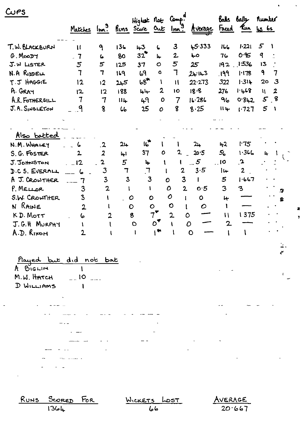| C <sub>US</sub>                                                                                                                                                                 | Matches Im <sup>9</sup> Runs Score Out Im <sup>9</sup>                                                                      |                                                                                                       |                                                                                                   | Highte Not Comp.                                                                                                                          |                                                                 |                                                                                                                                                                                           | Average                                                                                                 |                                                                                                          | Balls Bails<br><u>Faced</u> Pun 45 65                            | Rumber          |                                |
|---------------------------------------------------------------------------------------------------------------------------------------------------------------------------------|-----------------------------------------------------------------------------------------------------------------------------|-------------------------------------------------------------------------------------------------------|---------------------------------------------------------------------------------------------------|-------------------------------------------------------------------------------------------------------------------------------------------|-----------------------------------------------------------------|-------------------------------------------------------------------------------------------------------------------------------------------------------------------------------------------|---------------------------------------------------------------------------------------------------------|----------------------------------------------------------------------------------------------------------|------------------------------------------------------------------|-----------------|--------------------------------|
| T.W. BLACKBURN                                                                                                                                                                  | $\mathbf{1}$                                                                                                                | ٩                                                                                                     | 136                                                                                               | 43                                                                                                                                        | ι                                                               | 3                                                                                                                                                                                         | 45333                                                                                                   | しんし                                                                                                      | 1.221                                                            | 5<br>A.         |                                |
| G.MooDT                                                                                                                                                                         | $\mathbf{7}$                                                                                                                | $\epsilon$                                                                                            | 80                                                                                                | 32                                                                                                                                        | 年                                                               | $2\overline{ }$                                                                                                                                                                           | Ļо                                                                                                      | 76                                                                                                       | 0.95                                                             | 9               |                                |
| J.W LISTER                                                                                                                                                                      | 5                                                                                                                           | 5                                                                                                     | 125                                                                                               | 37                                                                                                                                        | $\circ$                                                         | 5                                                                                                                                                                                         | 25                                                                                                      | 192                                                                                                      | 1:536                                                            | 13              |                                |
| N.A RIDDELL                                                                                                                                                                     | 7                                                                                                                           | 7                                                                                                     | 169                                                                                               | 69                                                                                                                                        | $\bullet$                                                       | $\mathbf 7$                                                                                                                                                                               | 24.143                                                                                                  | .199                                                                                                     | 1.178                                                            | 9               | 7                              |
| T.J HAGGIE                                                                                                                                                                      | 12                                                                                                                          | 12                                                                                                    | کبل2                                                                                              | $68*$                                                                                                                                     | Y                                                               | $\mathbf{1}$                                                                                                                                                                              | 22.273                                                                                                  | 322                                                                                                      | $1.31 +$                                                         | 20              | $\mathbf{3}$                   |
| A. GRAY                                                                                                                                                                         | 12                                                                                                                          | 12                                                                                                    | 188                                                                                               | 44                                                                                                                                        | $\mathbf{2}$                                                    | 10                                                                                                                                                                                        | 18.8                                                                                                    | 276                                                                                                      | 1.468                                                            | $\mathbf{u}$    | $\boldsymbol{2}$               |
| A.R. FOTHERGILL                                                                                                                                                                 | 7                                                                                                                           | $\overline{7}$                                                                                        | 114                                                                                               | 49                                                                                                                                        | $\mathbf o$                                                     | 7                                                                                                                                                                                         | 16.286                                                                                                  | 96                                                                                                       | 0.812                                                            | 5.8             |                                |
| J.A. SINGLETON                                                                                                                                                                  | ٩                                                                                                                           | 8                                                                                                     | 66                                                                                                | 25                                                                                                                                        | $\mathbf o$                                                     | 8                                                                                                                                                                                         | 8.25                                                                                                    | $\mathbf{H}$                                                                                             | 1.727                                                            | $5\overline{)}$ | $\mathbf{I}$                   |
| Also batted<br>N.M. WHALEY<br>S. G. FOSTER<br>J. Johnston<br>D.C.S. EVERALL<br>A J. CROWTHER<br>P. MELLOR<br>S.W. CRONTHER<br>N RAINE<br>KD. MOTT<br>J.G.H MURPHY<br>A.D. RIXON | 6<br>$\overline{2}$<br>12<br>ہا<br>$\mathbf{7}$<br>$\overline{a}$<br>3<br>$\mathbf{3}$<br>$\mathbf{2}$<br>6<br>$\mathbf{2}$ | $\cdot$<br>$\boldsymbol{z}$<br>$\overline{\mathbf{c}}$<br>3<br>3<br>$\mathbf{2}$<br>V<br>$\mathbf{2}$ | 2 <sub>h</sub><br>4 <sup>1</sup><br>5<br>$\overline{1}$<br>$\overline{\mathbf{3}}$<br>$\mathbf O$ | 16<br>37<br>4<br>$\mathbf{7}$<br>$\mathbf{3}$<br>$\mathbf{I}$<br>$\mathbf O$<br>8<br>$\mathbf O$<br>$\begin{bmatrix} 1 & 1 \end{bmatrix}$ | 0<br>V<br>$\bullet$<br>$\circ$<br>$7^{\blacktriangledown}$<br>O | 2<br>$\mathbf{I}$<br>$\mathbf{2}$<br>$\overline{\mathbf{3}}$<br>$\mathbf o$<br>$\overline{2}$<br>$\mathbf o$<br>$\mathbf{o}$<br>$\mathbf{I}$<br>$\circ$<br>$\overline{2}$<br>$\mathbf{I}$ | 24<br>20.5<br>$\sim$ 5<br>3.5<br>0.5<br>$\bullet$<br>$\mathcal O$<br>0<br>$\mathcal{O}$<br>$\mathbf{O}$ | 42<br>56<br>$\overline{\phantom{a}}$<br>١ų<br>5<br>3<br>$\downarrow$<br>1<br>$\mathbf{1}$<br>$\mathbf 2$ | 1.75<br>1.346<br>$\cdot$<br>$\overline{2}$<br>1.667<br>3<br>1375 | 4               | $\overline{u}$<br>9.<br>摄<br>¥ |
| Played but did not bat<br>A BIGLIN<br>M.W. HATCH $=$ 10 $=$<br>D WILLIAMS                                                                                                       |                                                                                                                             |                                                                                                       |                                                                                                   |                                                                                                                                           |                                                                 |                                                                                                                                                                                           |                                                                                                         |                                                                                                          |                                                                  |                 |                                |
| <u>RUNS SCORED</u> FOR<br>136L                                                                                                                                                  |                                                                                                                             |                                                                                                       |                                                                                                   | <u> Wickets</u> LOST                                                                                                                      | ما ما                                                           |                                                                                                                                                                                           |                                                                                                         | AVERAGE                                                                                                  | 20.667                                                           |                 |                                |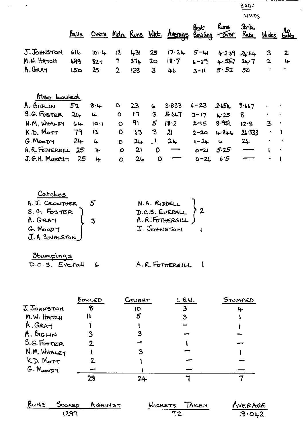|                    |                 |           |                |        |                |                                      |          |                            | WKTS         |                         |                                |
|--------------------|-----------------|-----------|----------------|--------|----------------|--------------------------------------|----------|----------------------------|--------------|-------------------------|--------------------------------|
|                    | <u>Bays</u>     |           |                |        |                | Overs Moln Runs Wet. Average Bowling | كائكا    | hins.<br><u>Tover</u> Rate | <b>Strik</b> |                         | <u>Wides</u> no<br>Wides bolls |
| J. JOHNSTON        | 616             | $101 - 4$ | 12             | 431    | 25             | 17.24                                | $5 - 41$ | 4.239                      | 24.64        | 3                       | $\overline{2}$                 |
| M.W. HATCH         | 499             | 82.1      | 7              | $37 +$ | 20             | 18.7                                 | $6 - 29$ | 4.552                      | $24 - 7$     | $\mathbf{2}$            | 4                              |
| A. GRAY            | 15 <sub>o</sub> | 25        | $\overline{2}$ | 138    | $\overline{3}$ | 46                                   | $3 - 11$ | 5.52                       | 50           |                         | ٠                              |
| Also bowled        |                 |           |                |        |                |                                      |          |                            |              |                         |                                |
| A. BIGLIN          | 52              | $8 - 4$   | O              | 23     | ه              | 3.833                                | $6 - 23$ | 2.654                      | 8.667        |                         |                                |
| <b>S.G. FOSTER</b> | 24              | سها       | $\mathbf o$    | 17     | 3              | 5.667                                | $3 - 17$ | L:25                       | 8            |                         | $\bullet$                      |
| N.M. WHALEY        | 64              | $10 - 1$  | $\circ$        | 91     | 5 <sup>1</sup> | 18.2                                 | $2 - 15$ | 8.951                      | 12.8         | $\overline{\mathbf{3}}$ | $\bullet$                      |
| K.D. MOTT          | 79              | 13        | 0              | 63     | 3              | $\mathbf{u}$                         | 2-20     | 4.846                      | 26.333       |                         |                                |
| G.MooDT            | $24 -$          | L.        | $\bullet$      | 24     | $\mathbf{I}$   | 24                                   | $1 - 24$ | 6                          | $24 -$       | ۰                       |                                |
| A.R. FOTHERGILL    | 25              | 4         | $\circ$        | 21     | O              |                                      | $0 - 21$ | 5.25                       |              | t                       | $\bullet$                      |
| J. G. H. MURPHY    | 25              | 4         | $\mathbf O$    | 26     | $\mathbf O$    |                                      | $0 - 26$ | 6.5                        |              | ٠                       |                                |

 $-$ 

 $\overline{\phantom{a}}$ 

 $\overline{\overline{\theta}}$ *vn* 

 $\mathcal{A}$ 

| Carches                        |                |  |
|--------------------------------|----------------|--|
| A. J. CROWTHER                 | N.A. RIDDELL   |  |
| S.G. FOSTER<br>A. GRAY         | D.C.S. EVERALL |  |
|                                |                |  |
| $G.$ MooD $Y$<br>J.A.SINGLETON | J. JOHNSTON    |  |

| Stumpings |                      |                 |
|-----------|----------------------|-----------------|
|           | $D.C.S.$ Everall $G$ | A.R. FOTHERGILL |

 $\mathcal{L}(\mathbf{x})$  and  $\mathcal{L}(\mathbf{x})$ 

|                           | BOWLED | CAUGHT | $L$ B.W. | STUMPED |
|---------------------------|--------|--------|----------|---------|
| J. JOHNSTON               |        | ĮО     | 3        | 4       |
| M.W. HATCH                |        | 5      |          |         |
| A. GRAY                   |        |        |          |         |
| A. BIGLIN                 |        |        |          |         |
| S.G.F <sub>oster</sub> ER |        |        |          |         |
| N.M. WHALEY               |        |        |          |         |
| KD. Morr                  |        |        |          |         |
| G.MooDT                   |        |        |          |         |
|                           | 28     | 24     |          |         |

|      | RUNS SCORED AGAINST | WICKETS TAKEN | AVERAGE |  |  |
|------|---------------------|---------------|---------|--|--|
| 1299 |                     |               | 18.042  |  |  |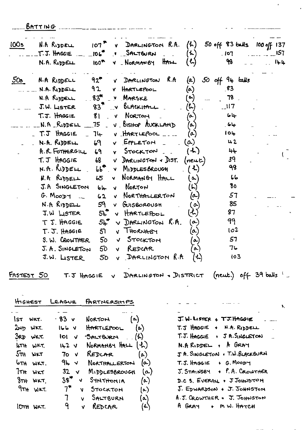BATTING COMMERCIAL COMME CAR CHANGE

| 100s       | N.A RIDDELL                          |                 | $107$ $\bullet$ $\bullet$ DARLINGTON R.A. $(h)$ 50 off 83 balls 100 off 137<br>$T.T.$ HAGGIE $\_\_$ $\_\$ 106" $\_\_$ $\_\$ SALTEURN $\_\_$ | (4)                        | 107                          | 157 |
|------------|--------------------------------------|-----------------|---------------------------------------------------------------------------------------------------------------------------------------------|----------------------------|------------------------------|-----|
|            |                                      |                 | $N.A.$ Reposell $100^R$ $V.$ Normansy HALL                                                                                                  | (5)                        | 98                           | 144 |
| 50s        |                                      |                 | N.A RIDDELL $92^{\bullet}$ v DARLINGTON R.A $(a)$                                                                                           |                            | $50$ off 94 talls            |     |
|            | N.A. RIDDELL                         | 92              | V HARTLEPOOL                                                                                                                                | $(\alpha)$                 | -83                          |     |
|            | N.A RIDDELL 83 <sup>#</sup> V MARSKE |                 |                                                                                                                                             | $(\circ)$                  | 78                           |     |
|            | $J.W.$ LISTER $3^{\pi}$ v BLACKITALL |                 |                                                                                                                                             | $\mathcal{L}(\mathcal{L})$ | $\overline{\phantom{0}}$ 117 |     |
|            | T.J. HAGGIE                          |                 | 81 V NORTON                                                                                                                                 | $(\infty)$                 | 64                           |     |
|            | $\sim$ $\sim$ N.A RIDDELL $\sim$ 75  |                 | V BISHOP AUCKLAND                                                                                                                           | (a)                        | 64                           |     |
|            | T.J HAGGIE                           | 74              | $V$ HARTLEPOOL $\ldots$                                                                                                                     | (a)                        | 104                          |     |
|            | N.A. RIDDELL                         |                 | $69$ v EPPLETON $(0)$                                                                                                                       |                            | $\mathbf{u}$ 2               |     |
|            |                                      |                 | A.R. FOTHERGILL 69 v STOCKTON                                                                                                               | (1)                        | 44                           |     |
|            |                                      |                 | $T.T$ HAGGIE 68 $V$ DARLINGTON + DIST. (neut)                                                                                               |                            | 39                           |     |
|            |                                      |                 | $N.R.RIDDELL$ $bb^T \times MIDDESSRovGH$ $(4)$                                                                                              |                            | 98                           |     |
|            | N.A RIDDELL 65                       |                 | V NORMANGY HALL                                                                                                                             | $(\infty)$                 | ماما                         |     |
|            | J.A SINGLETON                        | $61 -$          | V NORTON                                                                                                                                    | $\left(\mathsf{L}\right)$  | 80                           |     |
|            | $G.$ Moopy $\sim$                    | $62 -$          | V NORTHALLERTON                                                                                                                             | $(\alpha)$                 | 57                           |     |
|            | $N.A$ RIDDELL $59$                   |                 | v Guisborough 1                                                                                                                             | $(\circ)$                  | 85                           |     |
|            | $J.W$ LISTER $5L^T$                  |                 | V HARTLEPOOL                                                                                                                                | $\left( 1\right)$          | 87                           |     |
|            |                                      |                 | T J. HAGGIE $54^{\bullet}$ V DARLINGTON R.A.                                                                                                | $(\boldsymbol{\alpha})$    | 99                           |     |
|            | $T \cdot J$ . HAGGIE $J$             |                 | V THORNABY                                                                                                                                  | $(\alpha)$                 | 102                          |     |
|            | S. W. CROWTHER                       | $50 - 4$        | Stockton                                                                                                                                    | (a)                        | 57                           |     |
|            | J. A. SINGLETON                      | 50              | v REDCAR                                                                                                                                    | $\alpha)$                  | 76                           |     |
|            | J.W. LISTER                          | 50 <sub>o</sub> | V DARLINGTON R.A                                                                                                                            | $(\tau)$                   | 103                          |     |
| FASTEST 50 |                                      |                 | T.J HAGGIE $v$ DARLINGTON . DISTRICT (neut.) off 39 balls $^6$                                                                              |                            |                              |     |

 $\mathbf{k}$ 

HIGHEST LEAGUE PARTNERSHIPS

| Ist wrt.         | · 83 v               | NORTON $(a)$        |                       |
|------------------|----------------------|---------------------|-----------------------|
| $2\mu_D$ wkt.    | ۷ ماما!              | $H$ ARTLEPOOL $(a)$ |                       |
| <b>3RD WKT.</b>  | iol v                | $B$ ALTBURN $(h)$   |                       |
| <b>LITH</b> WKT. | 142 <sup>2</sup>     | NORMANBY HALL $(A)$ |                       |
| $5\pi$ $w \pi$   | 70 <sub>V</sub>      | $REDCR$ (a)         |                       |
| $6\pi$ H WKT.    | 9⊾ √                 | NORTHALLERTON       | (a.)                  |
| TTH WKT          | 32 v                 | MIDDLESBROUGH       | (م)                   |
| $8TH$ wkt.       | 38 <sup>7</sup><br>V | $S$ <b>THTHOMIA</b> | $(\kappa)$            |
| 9TH WKT.         | $7^*$<br>Ń           | Stockton            | $\left(\infty\right)$ |
|                  | $7 -$                | SALTBURN<br>v       | (a)                   |
| WKT.<br>IDTH     | 9.                   | REDCAR<br>v         | $(\tau)$              |
|                  |                      |                     |                       |

| J. W. LISTER + TJ. HAGGIE        |
|----------------------------------|
| $T.T$ HAGGIE + N.A. RIDDELL      |
| T.J. HAGGIE + J A. SINGLETON     |
| N.A. RIDDEL + A GRAY             |
| J.A. SINGLETON . T.W. BLACKBURN  |
| $T.S.$ HAGGIE + G. MOODY         |
| $J.$ STAINSBY $+ P. A.$ CROWTHER |
| D.C S. EVERAL + J JOHNSTON       |
| J. EDWARDSON + J. JOHNSTON       |
| A.J. GROWTHER + J. JOHNSTON      |
| A GRAY + MW. HATCH               |
|                                  |

فالمستفاد والمنافي والمنافي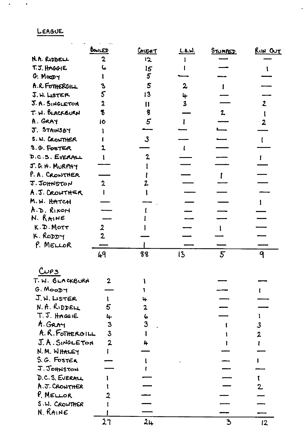## LEAGUE

 $\overline{a}$ 

 $\sim$ 

 $\mathcal{L}(\mathbf{x})$  and  $\mathcal{L}(\mathbf{x})$ 

|                             | BOWLED         | <u>Crucht</u>   | <u>L.B.W.</u>           | STUMPED        | RUN OUT        |
|-----------------------------|----------------|-----------------|-------------------------|----------------|----------------|
| N.A. RIDDELL                | 2              | 12              |                         |                |                |
| T.J. HAGGIE                 |                | $\overline{5}$  |                         |                |                |
| G. Moopy                    |                | $5\overline{)}$ |                         |                |                |
| A.R. FOTHERGILL             |                | 5               | 2                       |                |                |
| J.W. LISTER                 |                | 13              | 4                       |                |                |
| J. A. SINGLETON             | $\mathbf 2$    | $\mathbf{11}$   | $\overline{\mathbf{3}}$ |                | $\overline{2}$ |
| T. W. BLACKSURN             | 3              | 8               |                         | $\mathbf{z}$   |                |
| A. GRAY                     | ١Ò             | 5               |                         |                |                |
| J. STAINSBY                 |                |                 |                         |                |                |
| S. W. CROWTHER              |                | $\mathbf{3}$    |                         |                |                |
| S.G. FOSTER                 |                |                 |                         |                |                |
| D.C.S. EVERALL              |                |                 |                         |                |                |
| J.G. H. MURPHY              |                |                 |                         |                |                |
| P.A. CRONTHER               |                |                 |                         |                |                |
| J.JOHNSTON                  | 2              |                 |                         |                |                |
| A.J. CROWTHER               |                |                 |                         |                |                |
| M.W. HATCH                  |                |                 |                         |                |                |
| A.D. Rixon                  |                |                 |                         |                |                |
| N. RAINE                    |                |                 |                         |                |                |
| K.D. MOTT                   | 2              |                 |                         |                |                |
| K. RODDY                    | $\overline{2}$ |                 |                         |                |                |
| P. MELLOR                   |                |                 |                         |                |                |
|                             | 49             | 88              | 13                      | 5 <sup>5</sup> | 9              |
| C <sub>US</sub>             |                |                 |                         |                |                |
|                             | $\overline{2}$ |                 |                         |                |                |
| T. W. BLACKBURN<br>G. MOODY |                |                 |                         |                |                |
| J.W. LISTER                 |                |                 |                         |                |                |
| N. A. RIDDELL               | 5              | 4<br>2          |                         |                |                |
| T. J. HAGGIE                |                |                 |                         |                |                |
| A. GRAY                     | 4<br>3         | 6<br>3          |                         |                |                |
| A. R. FOTHERGILL            | $\overline{3}$ |                 |                         |                | 3              |
| J.A. SINGLETON              |                |                 |                         |                | $\overline{2}$ |
| N. M. WHALEY                |                |                 |                         |                |                |
| S.G. FOSTER                 |                |                 |                         |                |                |
| J. JOHNSTON                 |                |                 |                         |                |                |
| D.C.S. EVERML               |                |                 |                         |                |                |
| A.J. CROWTHER               |                |                 |                         |                | $\mathbf{2}$   |
| $P$ . MELLOR                |                |                 |                         |                |                |
| S.W. CROWTHER               |                |                 |                         |                |                |
| $N.$ RAINE                  |                |                 |                         |                |                |
|                             | 27             | 24              |                         | 3              | 12             |
|                             |                |                 |                         |                |                |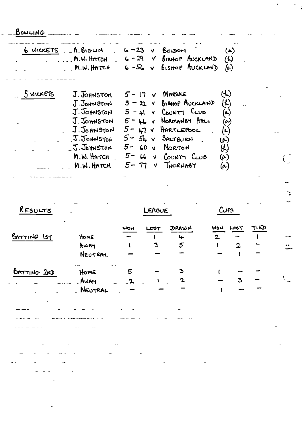BOWLING.

|           | $6$ wickETS $-A.B$ <sub>10</sub> $H$ | V BOLDON<br>$6 - 23$            |                        | (a)           |
|-----------|--------------------------------------|---------------------------------|------------------------|---------------|
|           | M.W. HATCH                           | $6 - 29$                        | V BISHOP AUCKLAND      | $\mathcal{L}$ |
|           | M.W. HATCH                           | $6 - 56$ $\sqrt{ }$             | <b>BISHOP AUCKLAND</b> | (a)           |
| 5 WICKETS | J. JOHNSTON                          | $5 - 17$ $\vee$ MARSKE          |                        | (ને)          |
|           | J.JOHNSTON                           | $5 - 22$ v BISHOP AVCKLAND      |                        | (L)           |
|           | J. JOHNSTON                          | $5 - \mu l$ v COUNTY CLUB       |                        |               |
|           |                                      |                                 |                        | (ـه           |
|           | J. JOHNSTON                          | $5 - \mu$ & Normanist HALL      |                        | $(\bullet)$   |
|           | J.Johnston                           | $5 - \mu$ $\upsilon$ HARTLEPOOL |                        | $(\tau)$      |
|           | J. JOHNSTON                          | $5 - 5k \times 5$ ALTBURN       |                        | (م)           |
|           | J. Johnston                          | $5 - 60$ v Norton               |                        | ${\cal G}$    |
|           | M.W. HATCH                           | $5 - 6$ $V$ COUNTY CLUB         |                        | $(\alpha)$    |
|           | M.W. HATCH                           | 5- 17                           | V THORNASY             | (a)           |

RESULTS

LEAGUE

 $C^{PS}$ 

l.

 $\binom{2}{2}$ 

 $\ddot{\cdot}$ j.

| BATTING IST | HOME<br>AWAY<br>NEUTRAL | <b>NOM</b>       | LOST<br>$\mathbf{3}$ | DRAWN<br>$\ddot{\mathbf{r}}$<br>5 | <b>WON</b><br>$\overline{2}$ | LOST<br>$\mathbf{z}$ | TIED | min. |
|-------------|-------------------------|------------------|----------------------|-----------------------------------|------------------------------|----------------------|------|------|
| BATTING 2ND | Home<br>AWAY<br>NEUTRAL | 5<br>$2^{\circ}$ | $\mathbf{A}$         | $\mathbf 2$                       |                              | 3                    |      |      |
|             |                         |                  |                      |                                   |                              |                      |      |      |
|             |                         |                  |                      |                                   |                              |                      |      |      |